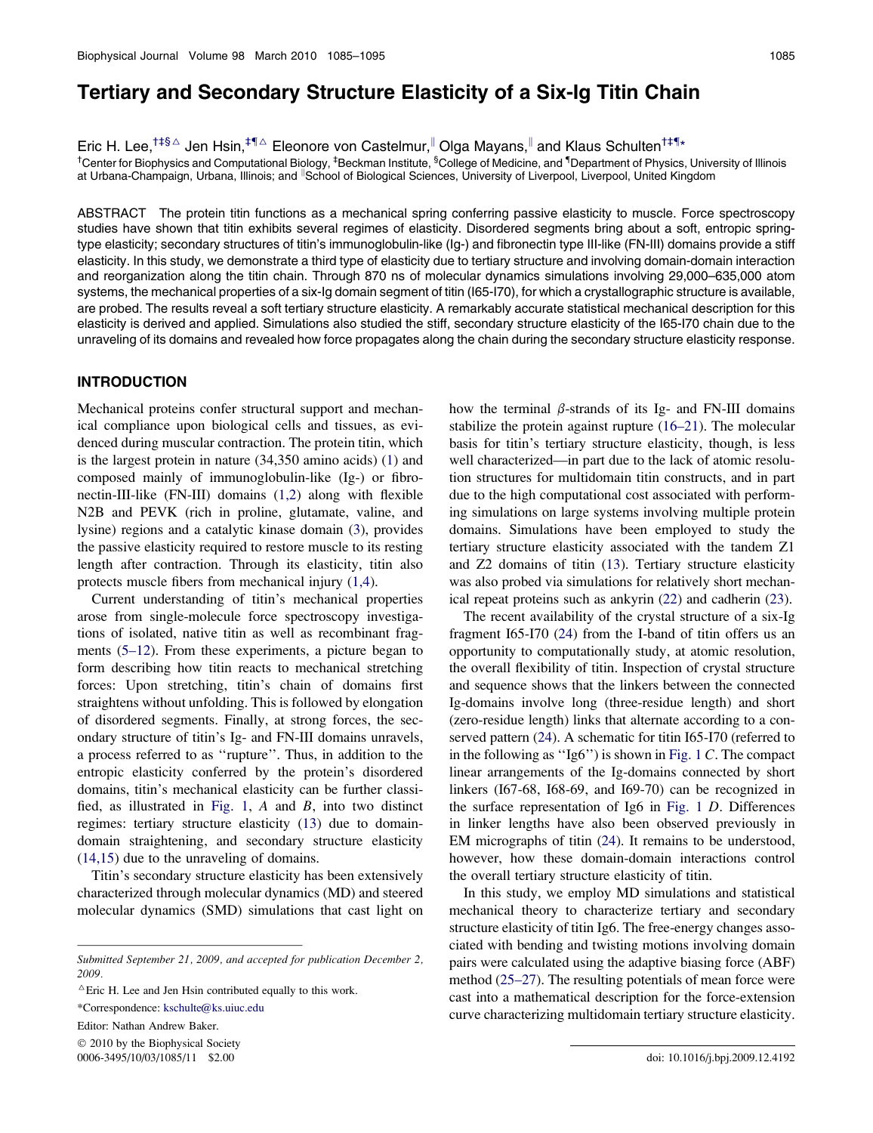# Tertiary and Secondary Structure Elasticity of a Six-Ig Titin Chain

Eric H. Lee,<sup>†‡§∆</sup> Jen Hsin,<sup>‡¶∆</sup> Eleonore von Castelmur,<sup>||</sup> Olga Mayans,<sup>||</sup> and Klaus Schulten<sup>†‡¶</sup>\*

<sup>†</sup>Center for Biophysics and Computational Biology, <sup>‡</sup>Beckman Institute, <sup>§</sup>College of Medicine, and <sup>¶</sup>Department of Physics, University of Illinois at Urbana-Champaign, Urbana, Illinois; and <sup>II</sup>School of Biological Sciences, University of Liverpool, Liverpool, United Kingdom

ABSTRACT The protein titin functions as a mechanical spring conferring passive elasticity to muscle. Force spectroscopy studies have shown that titin exhibits several regimes of elasticity. Disordered segments bring about a soft, entropic springtype elasticity; secondary structures of titin's immunoglobulin-like (Ig-) and fibronectin type III-like (FN-III) domains provide a stiff elasticity. In this study, we demonstrate a third type of elasticity due to tertiary structure and involving domain-domain interaction and reorganization along the titin chain. Through 870 ns of molecular dynamics simulations involving 29,000–635,000 atom systems, the mechanical properties of a six-Ig domain segment of titin (I65-I70), for which a crystallographic structure is available, are probed. The results reveal a soft tertiary structure elasticity. A remarkably accurate statistical mechanical description for this elasticity is derived and applied. Simulations also studied the stiff, secondary structure elasticity of the I65-I70 chain due to the unraveling of its domains and revealed how force propagates along the chain during the secondary structure elasticity response.

# INTRODUCTION

Mechanical proteins confer structural support and mechanical compliance upon biological cells and tissues, as evidenced during muscular contraction. The protein titin, which is the largest protein in nature (34,350 amino acids) ([1](#page-9-0)) and composed mainly of immunoglobulin-like (Ig-) or fibronectin-III-like (FN-III) domains [\(1,2\)](#page-9-0) along with flexible N2B and PEVK (rich in proline, glutamate, valine, and lysine) regions and a catalytic kinase domain [\(3](#page-9-0)), provides the passive elasticity required to restore muscle to its resting length after contraction. Through its elasticity, titin also protects muscle fibers from mechanical injury [\(1,4\)](#page-9-0).

Current understanding of titin's mechanical properties arose from single-molecule force spectroscopy investigations of isolated, native titin as well as recombinant fragments [\(5–12](#page-9-0)). From these experiments, a picture began to form describing how titin reacts to mechanical stretching forces: Upon stretching, titin's chain of domains first straightens without unfolding. This is followed by elongation of disordered segments. Finally, at strong forces, the secondary structure of titin's Ig- and FN-III domains unravels, a process referred to as ''rupture''. Thus, in addition to the entropic elasticity conferred by the protein's disordered domains, titin's mechanical elasticity can be further classified, as illustrated in [Fig. 1,](#page-1-0) A and B, into two distinct regimes: tertiary structure elasticity [\(13](#page-9-0)) due to domaindomain straightening, and secondary structure elasticity ([14,15](#page-9-0)) due to the unraveling of domains.

Titin's secondary structure elasticity has been extensively characterized through molecular dynamics (MD) and steered molecular dynamics (SMD) simulations that cast light on

 $© 2010$  by the Biophysical Society 0006-3495/10/03/1085/11 \$2.00 doi: 10.1016/j.bpj.2009.12.4192

how the terminal  $\beta$ -strands of its Ig- and FN-III domains stabilize the protein against rupture [\(16–21](#page-9-0)). The molecular basis for titin's tertiary structure elasticity, though, is less well characterized—in part due to the lack of atomic resolution structures for multidomain titin constructs, and in part due to the high computational cost associated with performing simulations on large systems involving multiple protein domains. Simulations have been employed to study the tertiary structure elasticity associated with the tandem Z1 and Z2 domains of titin [\(13\)](#page-9-0). Tertiary structure elasticity was also probed via simulations for relatively short mechanical repeat proteins such as ankyrin [\(22](#page-9-0)) and cadherin [\(23](#page-9-0)).

The recent availability of the crystal structure of a six-Ig fragment I65-I70 ([24\)](#page-9-0) from the I-band of titin offers us an opportunity to computationally study, at atomic resolution, the overall flexibility of titin. Inspection of crystal structure and sequence shows that the linkers between the connected Ig-domains involve long (three-residue length) and short (zero-residue length) links that alternate according to a conserved pattern ([24\)](#page-9-0). A schematic for titin I65-I70 (referred to in the following as ''Ig6'') is shown in [Fig. 1](#page-1-0) C. The compact linear arrangements of the Ig-domains connected by short linkers (I67-68, I68-69, and I69-70) can be recognized in the surface representation of Ig6 in [Fig. 1](#page-1-0) D. Differences in linker lengths have also been observed previously in EM micrographs of titin ([24\)](#page-9-0). It remains to be understood, however, how these domain-domain interactions control the overall tertiary structure elasticity of titin.

In this study, we employ MD simulations and statistical mechanical theory to characterize tertiary and secondary structure elasticity of titin Ig6. The free-energy changes associated with bending and twisting motions involving domain pairs were calculated using the adaptive biasing force (ABF) method ([25–27\)](#page-9-0). The resulting potentials of mean force were cast into a mathematical description for the force-extension curve characterizing multidomain tertiary structure elasticity.

Submitted September 21, 2009, and accepted for publication December 2, 2009.

 $^{\triangle}$ Eric H. Lee and Jen Hsin contributed equally to this work.

<sup>\*</sup>Correspondence: [kschulte@ks.uiuc.edu](mailto:kschulte@ks.uiuc.edu)

Editor: Nathan Andrew Baker.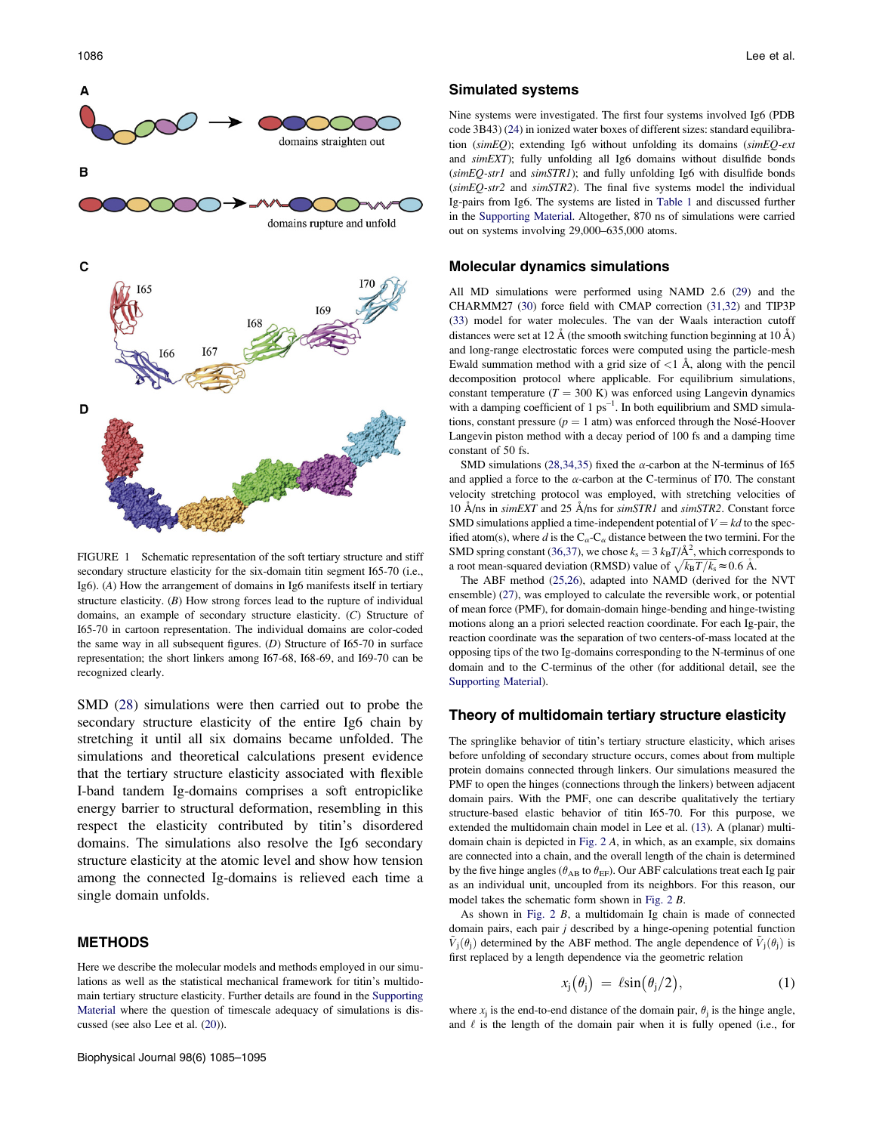<span id="page-1-0"></span>

FIGURE 1 Schematic representation of the soft tertiary structure and stiff secondary structure elasticity for the six-domain titin segment I65-70 (i.e., Ig6). (A) How the arrangement of domains in Ig6 manifests itself in tertiary structure elasticity.  $(B)$  How strong forces lead to the rupture of individual domains, an example of secondary structure elasticity. (C) Structure of I65-70 in cartoon representation. The individual domains are color-coded the same way in all subsequent figures. (D) Structure of I65-70 in surface representation; the short linkers among I67-68, I68-69, and I69-70 can be recognized clearly.

SMD [\(28](#page-10-0)) simulations were then carried out to probe the secondary structure elasticity of the entire Ig6 chain by stretching it until all six domains became unfolded. The simulations and theoretical calculations present evidence that the tertiary structure elasticity associated with flexible I-band tandem Ig-domains comprises a soft entropiclike energy barrier to structural deformation, resembling in this respect the elasticity contributed by titin's disordered domains. The simulations also resolve the Ig6 secondary structure elasticity at the atomic level and show how tension among the connected Ig-domains is relieved each time a single domain unfolds.

#### METHODS

Here we describe the molecular models and methods employed in our simulations as well as the statistical mechanical framework for titin's multidomain tertiary structure elasticity. Further details are found in the [Supporting](#page-9-0) [Material](#page-9-0) where the question of timescale adequacy of simulations is discussed (see also Lee et al. ([20\)](#page-9-0)).

#### Simulated systems

Nine systems were investigated. The first four systems involved Ig6 (PDB code 3B43) [\(24\)](#page-9-0) in ionized water boxes of different sizes: standard equilibration (simEQ); extending Ig6 without unfolding its domains (simEQ-ext and simEXT); fully unfolding all Ig6 domains without disulfide bonds  $(simEQ\text{-}str1$  and  $simSTRI$ ); and fully unfolding Ig6 with disulfide bonds  $(simEQ-str2$  and  $simSTR2$ ). The final five systems model the individual Ig-pairs from Ig6. The systems are listed in [Table 1](#page-2-0) and discussed further in the [Supporting Material](#page-9-0). Altogether, 870 ns of simulations were carried out on systems involving 29,000–635,000 atoms.

#### Molecular dynamics simulations

All MD simulations were performed using NAMD 2.6 ([29\)](#page-10-0) and the CHARMM27 [\(30](#page-10-0)) force field with CMAP correction [\(31,32\)](#page-10-0) and TIP3P [\(33](#page-10-0)) model for water molecules. The van der Waals interaction cutoff distances were set at 12 Å (the smooth switching function beginning at 10 Å) and long-range electrostatic forces were computed using the particle-mesh Ewald summation method with a grid size of  $\langle 1 \rangle$  Å, along with the pencil decomposition protocol where applicable. For equilibrium simulations, constant temperature ( $T = 300$  K) was enforced using Langevin dynamics with a damping coefficient of  $1 \text{ ps}^{-1}$ . In both equilibrium and SMD simulations, constant pressure ( $p = 1$  atm) was enforced through the Nosé-Hoover Langevin piston method with a decay period of 100 fs and a damping time constant of 50 fs.

SMD simulations ([28,34,35\)](#page-10-0) fixed the  $\alpha$ -carbon at the N-terminus of I65 and applied a force to the  $\alpha$ -carbon at the C-terminus of I70. The constant velocity stretching protocol was employed, with stretching velocities of 10  $\AA$ /ns in simEXT and 25  $\AA$ /ns for simSTR1 and simSTR2. Constant force SMD simulations applied a time-independent potential of  $V = kd$  to the specified atom(s), where d is the  $C_{\alpha}$ - $C_{\alpha}$  distance between the two termini. For the SMD spring constant [\(36,37\)](#page-10-0), we chose  $k_s = 3 k_B T/\text{\AA}^2$ , which corresponds to a root mean-squared deviation (RMSD) value of  $\sqrt{k_B T/k_s} \approx 0.6 \text{ Å}$ .

The ABF method [\(25,26](#page-9-0)), adapted into NAMD (derived for the NVT ensemble) [\(27](#page-10-0)), was employed to calculate the reversible work, or potential of mean force (PMF), for domain-domain hinge-bending and hinge-twisting motions along an a priori selected reaction coordinate. For each Ig-pair, the reaction coordinate was the separation of two centers-of-mass located at the opposing tips of the two Ig-domains corresponding to the N-terminus of one domain and to the C-terminus of the other (for additional detail, see the [Supporting Material](#page-9-0)).

#### Theory of multidomain tertiary structure elasticity

The springlike behavior of titin's tertiary structure elasticity, which arises before unfolding of secondary structure occurs, comes about from multiple protein domains connected through linkers. Our simulations measured the PMF to open the hinges (connections through the linkers) between adjacent domain pairs. With the PMF, one can describe qualitatively the tertiary structure-based elastic behavior of titin I65-70. For this purpose, we extended the multidomain chain model in Lee et al. [\(13](#page-9-0)). A (planar) multidomain chain is depicted in [Fig. 2](#page-2-0) A, in which, as an example, six domains are connected into a chain, and the overall length of the chain is determined by the five hinge angles ( $\theta_{AB}$  to  $\theta_{EF}$ ). Our ABF calculations treat each Ig pair as an individual unit, uncoupled from its neighbors. For this reason, our model takes the schematic form shown in [Fig. 2](#page-2-0) B.

As shown in [Fig. 2](#page-2-0) B, a multidomain Ig chain is made of connected domain pairs, each pair  $j$  described by a hinge-opening potential function  $\tilde{V}_i(\theta_i)$  determined by the ABF method. The angle dependence of  $\tilde{V}_i(\theta_i)$  is first replaced by a length dependence via the geometric relation

$$
x_j(\theta_j) = \ell \sin(\theta_j/2), \qquad (1)
$$

where  $x_i$  is the end-to-end distance of the domain pair,  $\theta_i$  is the hinge angle, and  $\ell$  is the length of the domain pair when it is fully opened (i.e., for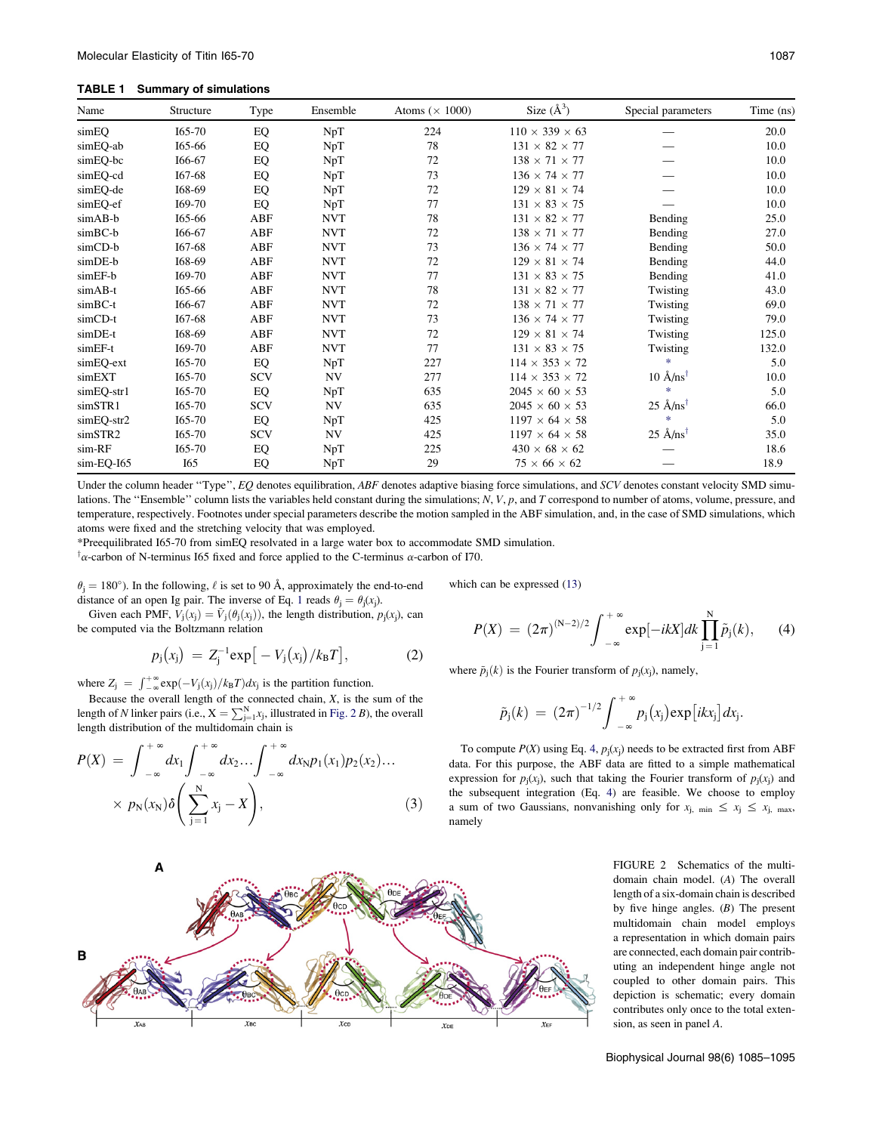#### <span id="page-2-0"></span>TABLE 1 Summary of simulations

| Name       | Structure | Type       | Ensemble   | Atoms ( $\times$ 1000) | Size $(\AA^3)$             | Special parameters                   | Time (ns) |
|------------|-----------|------------|------------|------------------------|----------------------------|--------------------------------------|-----------|
| simEQ      | I65-70    | EQ         | NpT        | 224                    | $110 \times 339 \times 63$ |                                      | 20.0      |
| simEQ-ab   | 165-66    | EQ         | NpT        | 78                     | $131 \times 82 \times 77$  |                                      | 10.0      |
| simEQ-bc   | I66-67    | EQ         | NpT        | 72                     | $138 \times 71 \times 77$  |                                      | 10.0      |
| simEQ-cd   | I67-68    | EQ         | NpT        | 73                     | $136 \times 74 \times 77$  |                                      | 10.0      |
| simEQ-de   | 168-69    | EQ         | NpT        | 72                     | $129 \times 81 \times 74$  |                                      | 10.0      |
| simEQ-ef   | I69-70    | EQ         | NpT        | 77                     | $131 \times 83 \times 75$  |                                      | 10.0      |
| simAB-b    | 165-66    | ABF        | <b>NVT</b> | 78                     | $131 \times 82 \times 77$  | Bending                              | 25.0      |
| simBC-b    | I66-67    | ABF        | <b>NVT</b> | 72                     | $138 \times 71 \times 77$  | Bending                              | 27.0      |
| simCD-b    | I67-68    | ABF        | <b>NVT</b> | 73                     | $136 \times 74 \times 77$  | Bending                              | 50.0      |
| simDE-b    | 168-69    | ABF        | <b>NVT</b> | 72                     | $129 \times 81 \times 74$  | Bending                              | 44.0      |
| simEF-b    | I69-70    | ABF        | <b>NVT</b> | 77                     | $131 \times 83 \times 75$  | Bending                              | 41.0      |
| simAB-t    | 165-66    | ABF        | <b>NVT</b> | 78                     | $131 \times 82 \times 77$  | Twisting                             | 43.0      |
| simBC-t    | I66-67    | ABF        | <b>NVT</b> | 72                     | $138 \times 71 \times 77$  | Twisting                             | 69.0      |
| simCD-t    | 167-68    | ABF        | <b>NVT</b> | 73                     | $136 \times 74 \times 77$  | Twisting                             | 79.0      |
| simDE-t    | 168-69    | ABF        | <b>NVT</b> | 72                     | $129 \times 81 \times 74$  | Twisting                             | 125.0     |
| simEF-t    | I69-70    | ABF        | <b>NVT</b> | 77                     | $131 \times 83 \times 75$  | Twisting                             | 132.0     |
| simEQ-ext  | I65-70    | EQ         | NpT        | 227                    | $114 \times 353 \times 72$ | sk.                                  | 5.0       |
| simEXT     | $I65-70$  | <b>SCV</b> | <b>NV</b>  | 277                    | $114 \times 353 \times 72$ | $10 \text{ Å} / \text{ns}^{\dagger}$ | 10.0      |
| simEQ-str1 | $I65-70$  | EQ         | NpT        | 635                    | $2045 \times 60 \times 53$ | 柬                                    | 5.0       |
| simSTR1    | $I65-70$  | <b>SCV</b> | <b>NV</b>  | 635                    | $2045 \times 60 \times 53$ | $25 \text{ Å} / \text{ns}^{\dagger}$ | 66.0      |
| simEQ-str2 | $I65-70$  | EQ         | NpT        | 425                    | $1197 \times 64 \times 58$ | 柬                                    | 5.0       |
| simSTR2    | $I65-70$  | <b>SCV</b> | NV         | 425                    | $1197 \times 64 \times 58$ | $25 \text{ Å} / \text{ns}^{\dagger}$ | 35.0      |
| sim-RF     | I65-70    | EQ         | NpT        | 225                    | $430 \times 68 \times 62$  |                                      | 18.6      |
| sim-EQ-I65 | I65       | EQ         | NpT        | 29                     | $75 \times 66 \times 62$   |                                      | 18.9      |

Under the column header "Type", EQ denotes equilibration, ABF denotes adaptive biasing force simulations, and SCV denotes constant velocity SMD simulations. The "Ensemble" column lists the variables held constant during the simulations; N, V, p, and T correspond to number of atoms, volume, pressure, and temperature, respectively. Footnotes under special parameters describe the motion sampled in the ABF simulation, and, in the case of SMD simulations, which atoms were fixed and the stretching velocity that was employed.

\*Preequilibrated I65-70 from simEQ resolvated in a large water box to accommodate SMD simulation.

 $^{\dagger}$  $\alpha$ -carbon of N-terminus I65 fixed and force applied to the C-terminus  $\alpha$ -carbon of I70.

 $\theta_j = 180^\circ$ ). In the following,  $\ell$  is set to 90 Å, approximately the end-to-end distance of an open Ig pair. The inverse of Eq. 1 reads  $\theta_i = \theta_i(x_i)$ .

Given each PMF,  $V_i(x_i) = V_i(\theta_i(x_i))$ , the length distribution,  $p_i(x_i)$ , can be computed via the Boltzmann relation

$$
p_j(x_j) = Z_j^{-1} \exp[-V_j(x_j)/k_B T], \qquad (2)
$$

where  $Z_j = \int_{-\infty}^{+\infty} \exp(-V_j(x_j)/k_B T) dx_j$  is the partition function.

Because the overall length of the connected chain, X, is the sum of the length of N linker pairs (i.e.,  $X = \sum_{j=1}^{N} x_j$ , illustrated in Fig. 2 B), the overall length distribution of the multidomain chain is

$$
P(X) = \int_{-\infty}^{+\infty} dx_1 \int_{-\infty}^{+\infty} dx_2 \dots \int_{-\infty}^{+\infty} dx_N p_1(x_1) p_2(x_2) \dots
$$

$$
\times p_N(x_N) \delta\left(\sum_{j=1}^N x_j - X\right), \tag{3}
$$

$$
P(X) = (2\pi)^{(N-2)/2} \int_{-\infty}^{+\infty} \exp[-ikX] dk \prod_{j=1}^{N} \tilde{p}_j(k), \qquad (4)
$$

where  $\tilde{p}_i(k)$  is the Fourier transform of  $p_i(x_i)$ , namely,

which can be expressed [\(13](#page-9-0))

$$
\tilde{p}_j(k) = (2\pi)^{-1/2} \int_{-\infty}^{+\infty} p_j(x_j) \exp[i k x_j] dx_j.
$$

To compute  $P(X)$  using Eq. 4,  $p_i(x_i)$  needs to be extracted first from ABF data. For this purpose, the ABF data are fitted to a simple mathematical expression for  $p_j(x_j)$ , such that taking the Fourier transform of  $p_j(x_j)$  and the subsequent integration (Eq. 4) are feasible. We choose to employ a sum of two Gaussians, nonvanishing only for  $x_{j, min} \le x_j \le x_{j, max}$ , namely

> FIGURE 2 Schematics of the multidomain chain model. (A) The overall length of a six-domain chain is described by five hinge angles.  $(B)$  The present multidomain chain model employs a representation in which domain pairs are connected, each domain pair contributing an independent hinge angle not coupled to other domain pairs. This depiction is schematic; every domain contributes only once to the total extension, as seen in panel A.

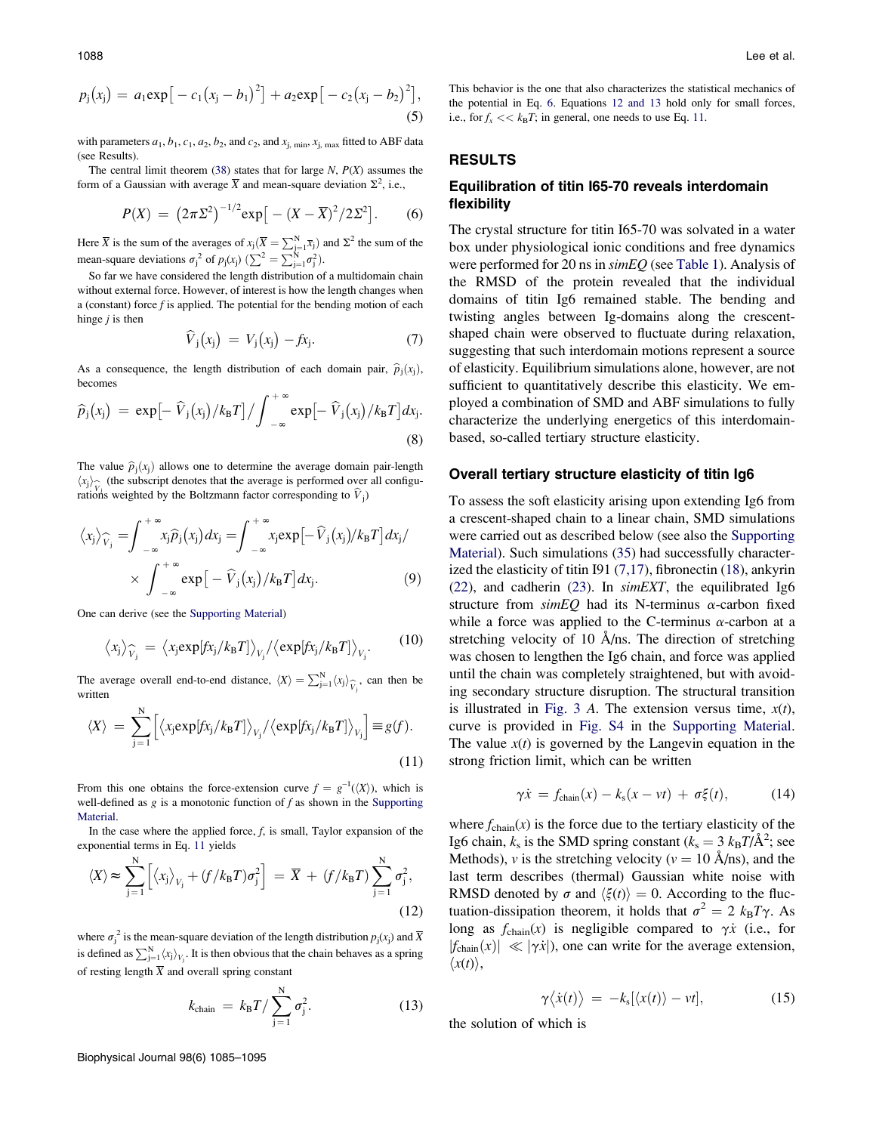$$
p_j(x_j) = a_1 \exp[-c_1(x_j - b_1)^2] + a_2 \exp[-c_2(x_j - b_2)^2],
$$
\n(5)

with parameters  $a_1$ ,  $b_1$ ,  $c_1$ ,  $a_2$ ,  $b_2$ , and  $c_2$ , and  $x_{j, min}$ ,  $x_{j, max}$  fitted to ABF data (see Results).

The central limit theorem ([38\)](#page-10-0) states that for large  $N$ ,  $P(X)$  assumes the form of a Gaussian with average  $\overline{X}$  and mean-square deviation  $\Sigma^2$ , i.e.,

$$
P(X) = (2\pi\Sigma^2)^{-1/2} \exp[-(X-\overline{X})^2/2\Sigma^2].
$$
 (6)

Here  $\overline{X}$  is the sum of the averages of  $x_j(\overline{X} = \sum_{j=1}^{N} \overline{x}_j)$  and  $\Sigma^2$  the sum of the mean-square deviations  $\sigma_j^2$  of  $p_j(x_j)$   $(\sum_{j=1}^N \sum_{j=1}^N \sigma_j^2)$ .

So far we have considered the length distribution of a multidomain chain without external force. However, of interest is how the length changes when a (constant) force  $f$  is applied. The potential for the bending motion of each hinge  $j$  is then

$$
\widehat{V}_j(x_j) = V_j(x_j) - fx_j. \tag{7}
$$

As a consequence, the length distribution of each domain pair,  $\hat{p}_i(x_i)$ , becomes

$$
\widehat{p}_j(x_j) = \exp\left[-\widehat{V}_j(x_j)/k_B T\right] / \int_{-\infty}^{+\infty} \exp\left[-\widehat{V}_j(x_j)/k_B T\right] dx_j.
$$
\n(8)

The value  $\hat{p}_i(x_i)$  allows one to determine the average domain pair-length  $\langle x_j \rangle_{\widehat{V}_j}$  (the subscript denotes that the average is performed over all configuration of  $\widehat{V}_j$ ) rations weighted by the Boltzmann factor corresponding to  $\hat{V}_j$ )

$$
\langle x_j \rangle_{\widehat{V}_j} = \int_{-\infty}^{+\infty} x_j \widehat{p}_j(x_j) dx_j = \int_{-\infty}^{+\infty} x_j \exp[-\widehat{V}_j(x_j)/k_B T] dx_j / \times \int_{-\infty}^{+\infty} \exp[-\widehat{V}_j(x_j)/k_B T] dx_j.
$$
 (9)

One can derive (see the [Supporting Material](#page-9-0))

$$
\langle x_j \rangle_{\widehat{V}_j} = \langle x_j \exp[f x_j / k_B T] \rangle_{V_j} / \langle \exp[f x_j / k_B T] \rangle_{V_j}.
$$
 (10)

The average overall end-to-end distance,  $\langle X \rangle = \sum_{j=1}^{N} \langle x_j \rangle_{\widehat{V}_j}$ , can then be written

$$
\langle X \rangle = \sum_{j=1}^{N} \Big[ \langle x_j \exp[f x_j / k_B T] \rangle_{V_j} / \langle \exp[f x_j / k_B T] \rangle_{V_j} \Big] \equiv g(f).
$$
\n(11)

From this one obtains the force-extension curve  $f = g^{-1}(\langle X \rangle)$ , which is well-defined as  $g$  is a monotonic function of  $f$  as shown in the [Supporting](#page-9-0) [Material.](#page-9-0)

In the case where the applied force,  $f$ , is small, Taylor expansion of the exponential terms in Eq. 11 yields

$$
\langle X \rangle \approx \sum_{j=1}^{N} \left[ \langle x_j \rangle_{V_j} + (f/k_B T) \sigma_j^2 \right] = \overline{X} + (f/k_B T) \sum_{j=1}^{N} \sigma_j^2,
$$
\n(12)

where  $\sigma_j^2$  is the mean-square deviation of the length distribution  $p_j(x_j)$  and  $\overline{X}$ is defined as  $\sum_{j=1}^{N} \langle x_j \rangle_{V_j}$ . It is then obvious that the chain behaves as a spring of resting length  $\overline{X}$  and overall spring constant

$$
k_{\text{chain}} = k_{\text{B}} T / \sum_{j=1}^{N} \sigma_j^2.
$$
 (13)

This behavior is the one that also characterizes the statistical mechanics of the potential in Eq. 6. Equations 12 and 13 hold only for small forces, i.e., for  $f_x \ll k_B T$ ; in general, one needs to use Eq. 11.

## RESULTS

## Equilibration of titin I65-70 reveals interdomain flexibility

The crystal structure for titin I65-70 was solvated in a water box under physiological ionic conditions and free dynamics were performed for 20 ns in  $\sin EQ$  (see [Table 1\)](#page-2-0). Analysis of the RMSD of the protein revealed that the individual domains of titin Ig6 remained stable. The bending and twisting angles between Ig-domains along the crescentshaped chain were observed to fluctuate during relaxation, suggesting that such interdomain motions represent a source of elasticity. Equilibrium simulations alone, however, are not sufficient to quantitatively describe this elasticity. We employed a combination of SMD and ABF simulations to fully characterize the underlying energetics of this interdomainbased, so-called tertiary structure elasticity.

#### Overall tertiary structure elasticity of titin Ig6

To assess the soft elasticity arising upon extending Ig6 from a crescent-shaped chain to a linear chain, SMD simulations were carried out as described below (see also the [Supporting](#page-9-0) [Material\)](#page-9-0). Such simulations [\(35](#page-10-0)) had successfully characterized the elasticity of titin I91 ([7,17](#page-9-0)), fibronectin [\(18](#page-9-0)), ankyrin ([22\)](#page-9-0), and cadherin [\(23](#page-9-0)). In  $simEXT$ , the equilibrated Ig6 structure from  $\sin EQ$  had its N-terminus  $\alpha$ -carbon fixed while a force was applied to the C-terminus  $\alpha$ -carbon at a stretching velocity of 10  $\AA$ /ns. The direction of stretching was chosen to lengthen the Ig6 chain, and force was applied until the chain was completely straightened, but with avoiding secondary structure disruption. The structural transition is illustrated in [Fig. 3](#page-4-0) A. The extension versus time,  $x(t)$ , curve is provided in [Fig. S4](#page-9-0) in the [Supporting Material](#page-9-0). The value  $x(t)$  is governed by the Langevin equation in the strong friction limit, which can be written

$$
\gamma \dot{x} = f_{\text{chain}}(x) - k_{\text{s}}(x - vt) + \sigma \xi(t), \tag{14}
$$

where  $f_{chain}(x)$  is the force due to the tertiary elasticity of the Ig6 chain,  $k_s$  is the SMD spring constant ( $k_s = 3 k_B T/\text{\AA}^2$ ; see Methods), v is the stretching velocity ( $v = 10 \text{ Å} / \text{ns}$ ), and the last term describes (thermal) Gaussian white noise with RMSD denoted by  $\sigma$  and  $\langle \xi(t) \rangle = 0$ . According to the fluctuation-dissipation theorem, it holds that  $\sigma^2 = 2 k_B T \gamma$ . As long as  $f_{chain}(x)$  is negligible compared to  $\gamma \dot{x}$  (i.e., for  $|f_{\text{chain}}(x)| \ll |\gamma \dot{x}|$ , one can write for the average extension,  $\langle x(t) \rangle$ ,

$$
\gamma \langle \dot{x}(t) \rangle = -k_{\rm s} [\langle x(t) \rangle - vt], \qquad (15)
$$

the solution of which is

Biophysical Journal 98(6) 1085–1095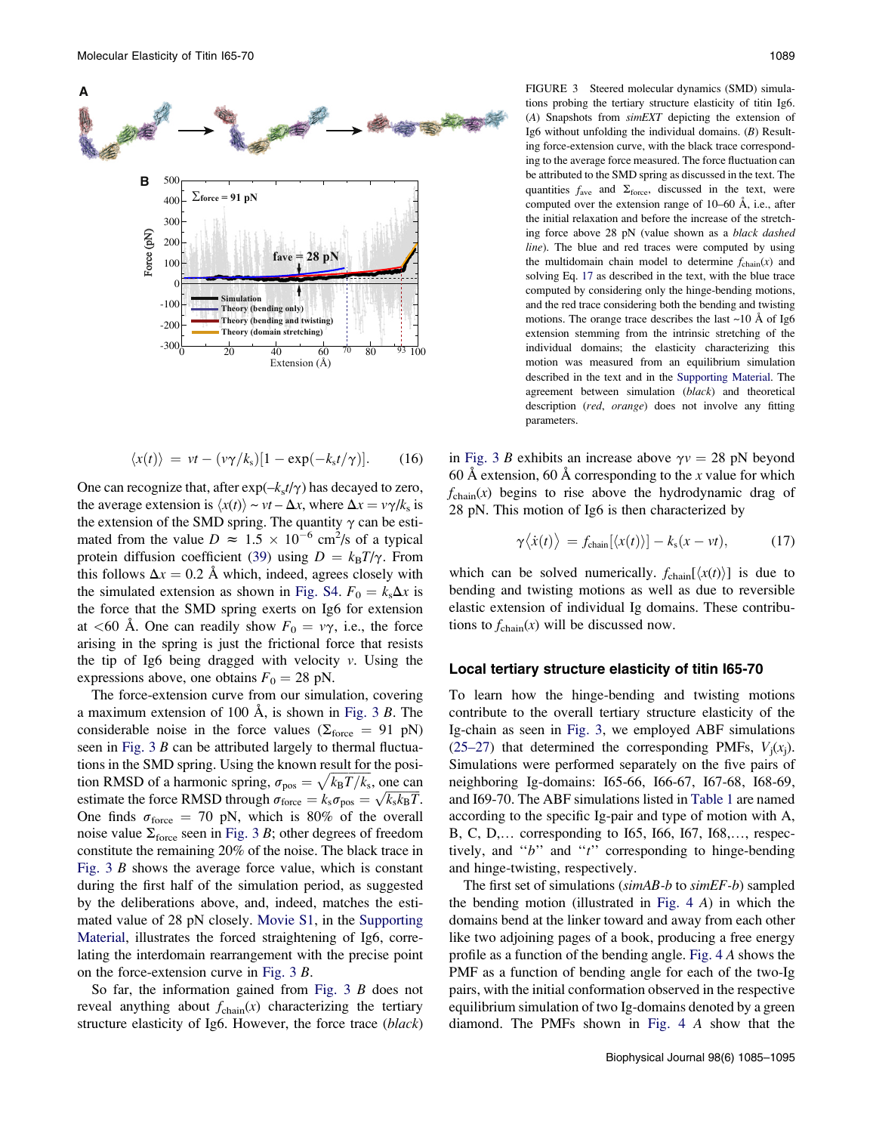<span id="page-4-0"></span>

$$
\langle x(t) \rangle = vt - (v\gamma/k_s)[1 - \exp(-k_s t/\gamma)]. \qquad (16)
$$

One can recognize that, after  $\exp(-k_s t/\gamma)$  has decayed to zero, the average extension is  $\langle x(t) \rangle \sim vt - \Delta x$ , where  $\Delta x = v\gamma/k_s$  is the extension of the SMD spring. The quantity  $\gamma$  can be estimated from the value  $D \approx 1.5 \times 10^{-6}$  cm<sup>2</sup>/s of a typical protein diffusion coefficient ([39](#page-10-0)) using  $D = k_B T/\gamma$ . From this follows  $\Delta x = 0.2$  Å which, indeed, agrees closely with the simulated extension as shown in [Fig. S4.](#page-9-0)  $F_0 = k_s \Delta x$  is the force that the SMD spring exerts on Ig6 for extension at <60 Å. One can readily show  $F_0 = v\gamma$ , i.e., the force arising in the spring is just the frictional force that resists the tip of Ig6 being dragged with velocity  $v$ . Using the expressions above, one obtains  $F_0 = 28$  pN.

The force-extension curve from our simulation, covering a maximum extension of 100  $\AA$ , is shown in Fig. 3 B. The considerable noise in the force values ( $\Sigma_{\text{force}} = 91 \text{ pN}$ ) seen in Fig.  $3 B$  can be attributed largely to thermal fluctuations in the SMD spring. Using the known result for the position RMSD of a harmonic spring,  $\sigma_{\text{pos}} = \sqrt{k_B T / k_s}$ , one can tion KNISD of a natified spring,  $\sigma_{\text{pos}} = \sqrt{\kappa_{\text{B}}T/\kappa_{\text{s}}}$ , one can estimate the force RMSD through  $\sigma_{\text{force}} = k_{\text{s}}\sigma_{\text{pos}} = \sqrt{k_{\text{s}}k_{\text{B}}T}$ . One finds  $\sigma_{\text{force}} = 70 \text{ pN}$ , which is 80% of the overall noise value  $\Sigma_{\text{force}}$  seen in Fig. 3 B; other degrees of freedom constitute the remaining 20% of the noise. The black trace in Fig.  $3 \, B$  shows the average force value, which is constant during the first half of the simulation period, as suggested by the deliberations above, and, indeed, matches the estimated value of 28 pN closely. [Movie S1](#page-9-0), in the [Supporting](#page-9-0) [Material,](#page-9-0) illustrates the forced straightening of Ig6, correlating the interdomain rearrangement with the precise point on the force-extension curve in Fig. 3 B.

So far, the information gained from Fig. 3 B does not reveal anything about  $f_{chain}(x)$  characterizing the tertiary structure elasticity of Ig6. However, the force trace (black)

FIGURE 3 Steered molecular dynamics (SMD) simulations probing the tertiary structure elasticity of titin Ig6. (A) Snapshots from simEXT depicting the extension of Ig6 without unfolding the individual domains. (B) Resulting force-extension curve, with the black trace corresponding to the average force measured. The force fluctuation can be attributed to the SMD spring as discussed in the text. The quantities  $f_{\text{ave}}$  and  $\Sigma_{\text{force}}$ , discussed in the text, were computed over the extension range of  $10-60 \text{ Å}$ , i.e., after the initial relaxation and before the increase of the stretching force above 28 pN (value shown as a black dashed line). The blue and red traces were computed by using the multidomain chain model to determine  $f_{chain}(x)$  and solving Eq. 17 as described in the text, with the blue trace computed by considering only the hinge-bending motions, and the red trace considering both the bending and twisting motions. The orange trace describes the last  $\sim$ 10 Å of Ig6 extension stemming from the intrinsic stretching of the individual domains; the elasticity characterizing this motion was measured from an equilibrium simulation described in the text and in the [Supporting Material](#page-9-0). The agreement between simulation (black) and theoretical description (red, orange) does not involve any fitting parameters.

in Fig. 3 B exhibits an increase above  $\gamma v = 28$  pN beyond 60 Å extension, 60 Å corresponding to the x value for which  $f_{chain}(x)$  begins to rise above the hydrodynamic drag of 28 pN. This motion of Ig6 is then characterized by

$$
\gamma \langle \dot{x}(t) \rangle = f_{\text{chain}}[\langle x(t) \rangle] - k_{\text{s}}(x - vt), \tag{17}
$$

which can be solved numerically.  $f_{\text{chain}}[\langle x(t)\rangle]$  is due to bending and twisting motions as well as due to reversible elastic extension of individual Ig domains. These contributions to  $f_{chain}(x)$  will be discussed now.

#### Local tertiary structure elasticity of titin I65-70

To learn how the hinge-bending and twisting motions contribute to the overall tertiary structure elasticity of the Ig-chain as seen in Fig. 3, we employed ABF simulations ([25–27\)](#page-9-0) that determined the corresponding PMFs,  $V_i(x_i)$ . Simulations were performed separately on the five pairs of neighboring Ig-domains: I65-66, I66-67, I67-68, I68-69, and I69-70. The ABF simulations listed in [Table 1](#page-2-0) are named according to the specific Ig-pair and type of motion with A, B, C, D,... corresponding to 165, 166, 167, 168,..., respectively, and "b" and "t" corresponding to hinge-bending and hinge-twisting, respectively.

The first set of simulations ( $\sin A B - b$  to  $\sin E F - b$ ) sampled the bending motion (illustrated in [Fig. 4](#page-5-0) A) in which the domains bend at the linker toward and away from each other like two adjoining pages of a book, producing a free energy profile as a function of the bending angle. [Fig. 4](#page-5-0) A shows the PMF as a function of bending angle for each of the two-Ig pairs, with the initial conformation observed in the respective equilibrium simulation of two Ig-domains denoted by a green diamond. The PMFs shown in [Fig. 4](#page-5-0) A show that the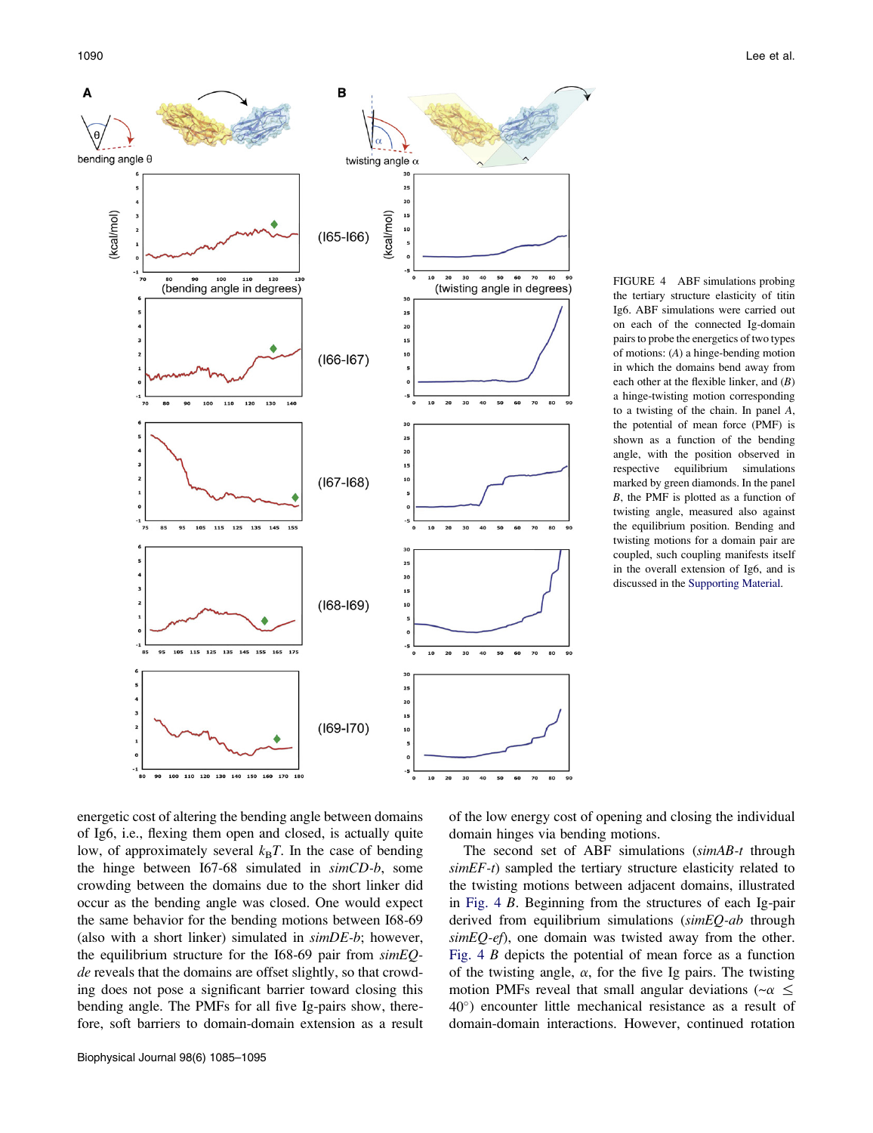<span id="page-5-0"></span>

FIGURE 4 ABF simulations probing the tertiary structure elasticity of titin Ig6. ABF simulations were carried out on each of the connected Ig-domain pairs to probe the energetics of two types of motions: (A) a hinge-bending motion in which the domains bend away from each other at the flexible linker, and  $(B)$ a hinge-twisting motion corresponding to a twisting of the chain. In panel A, the potential of mean force (PMF) is shown as a function of the bending angle, with the position observed in respective equilibrium simulations marked by green diamonds. In the panel B, the PMF is plotted as a function of twisting angle, measured also against the equilibrium position. Bending and twisting motions for a domain pair are coupled, such coupling manifests itself in the overall extension of Ig6, and is discussed in the [Supporting Material](#page-9-0).

energetic cost of altering the bending angle between domains of Ig6, i.e., flexing them open and closed, is actually quite low, of approximately several  $k_B T$ . In the case of bending the hinge between I67-68 simulated in simCD-b, some crowding between the domains due to the short linker did occur as the bending angle was closed. One would expect the same behavior for the bending motions between I68-69 (also with a short linker) simulated in  $\textit{simDE-b}$ ; however, the equilibrium structure for the I68-69 pair from  $simEQ$ de reveals that the domains are offset slightly, so that crowding does not pose a significant barrier toward closing this bending angle. The PMFs for all five Ig-pairs show, therefore, soft barriers to domain-domain extension as a result of the low energy cost of opening and closing the individual domain hinges via bending motions.

The second set of ABF simulations (simAB-t through  $simEF-t$ ) sampled the tertiary structure elasticity related to the twisting motions between adjacent domains, illustrated in Fig. 4 B. Beginning from the structures of each Ig-pair derived from equilibrium simulations (simEQ-ab through  $simEQ-ef$ ), one domain was twisted away from the other. Fig. 4 B depicts the potential of mean force as a function of the twisting angle,  $\alpha$ , for the five Ig pairs. The twisting motion PMFs reveal that small angular deviations ( $-\alpha \leq$ 40°) encounter little mechanical resistance as a result of domain-domain interactions. However, continued rotation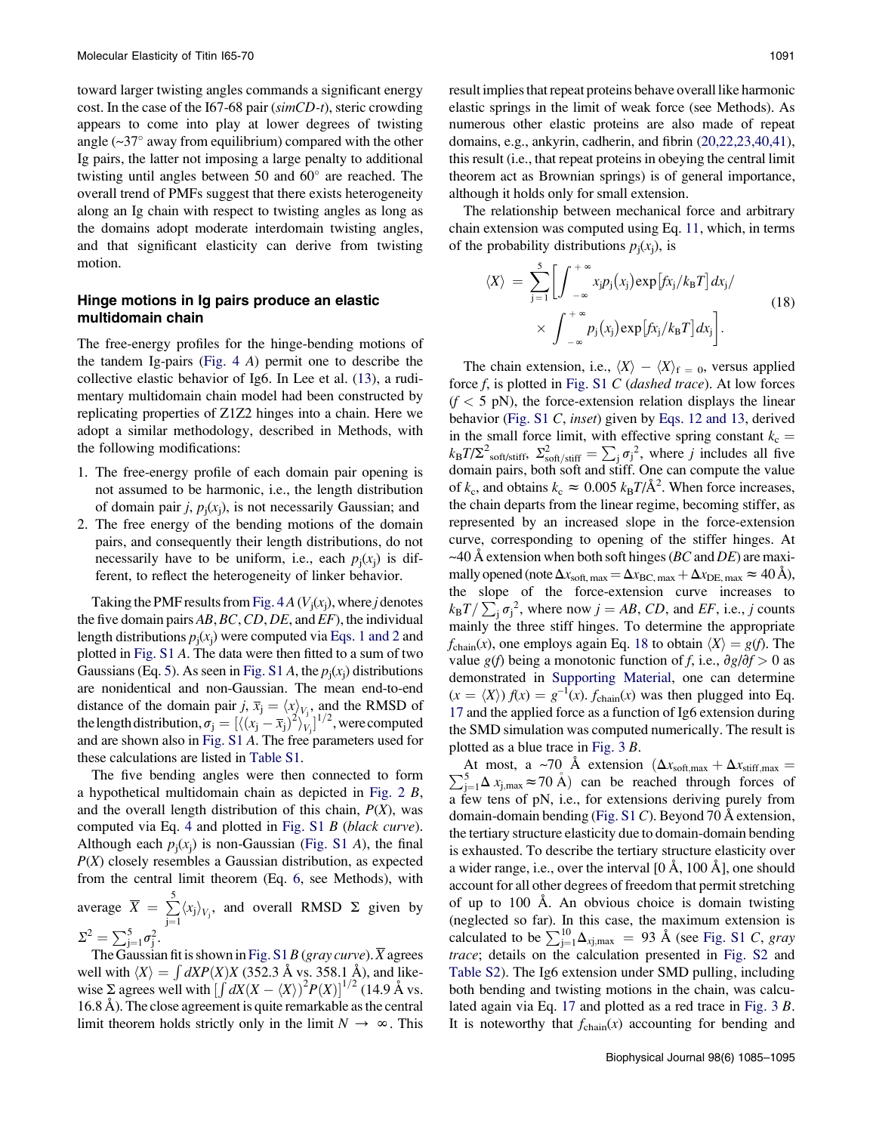toward larger twisting angles commands a significant energy cost. In the case of the I67-68 pair (simCD-t), steric crowding appears to come into play at lower degrees of twisting angle  $(\sim]37^\circ$  away from equilibrium) compared with the other Ig pairs, the latter not imposing a large penalty to additional twisting until angles between 50 and  $60^\circ$  are reached. The overall trend of PMFs suggest that there exists heterogeneity along an Ig chain with respect to twisting angles as long as the domains adopt moderate interdomain twisting angles, and that significant elasticity can derive from twisting motion.

# Hinge motions in Ig pairs produce an elastic multidomain chain

The free-energy profiles for the hinge-bending motions of the tandem Ig-pairs ([Fig. 4](#page-5-0) A) permit one to describe the collective elastic behavior of Ig6. In Lee et al. ([13\)](#page-9-0), a rudimentary multidomain chain model had been constructed by replicating properties of Z1Z2 hinges into a chain. Here we adopt a similar methodology, described in Methods, with the following modifications:

- 1. The free-energy profile of each domain pair opening is not assumed to be harmonic, i.e., the length distribution of domain pair j,  $p_i(x_i)$ , is not necessarily Gaussian; and
- 2. The free energy of the bending motions of the domain pairs, and consequently their length distributions, do not necessarily have to be uniform, i.e., each  $p_i(x_i)$  is different, to reflect the heterogeneity of linker behavior.

Taking the PMF results from [Fig. 4](#page-5-0)  $A$  ( $V_i(x_i)$ , where j denotes the five domain pairs  $AB, BC, CD, DE$ , and  $EF$ ), the individual length distributions  $p_i(x_i)$  were computed via Eqs. 1 and 2 and plotted in [Fig. S1](#page-9-0) A. The data were then fitted to a sum of two Gaussians (Eq. 5). As seen in [Fig. S1](#page-9-0) A, the  $p_i(x_i)$  distributions are nonidentical and non-Gaussian. The mean end-to-end distance of the domain pair j,  $\overline{x}_j = \langle x \rangle_{V_j}$ , and the RMSD of the length distribution,  $\sigma_j = [\langle (x_j - \overline{x}_j)^2 \rangle_{V_j}^2]^{1/2}$ , were computed and are shown also in [Fig. S1](#page-9-0) A. The free parameters used for these calculations are listed in [Table S1.](#page-9-0)

The five bending angles were then connected to form a hypothetical multidomain chain as depicted in [Fig. 2](#page-2-0) B, and the overall length distribution of this chain,  $P(X)$ , was computed via Eq. 4 and plotted in [Fig. S1](#page-9-0) B (black curve). Although each  $p_i(x_i)$  is non-Gaussian ([Fig. S1](#page-9-0) A), the final  $P(X)$  closely resembles a Gaussian distribution, as expected from the central limit theorem (Eq. 6, see Methods), with average  $\overline{X} = \sum_{i=1}^{5}$  $\sum_{j=1}^{\infty} \langle x_j \rangle_{V_j}$ , and overall RMSD  $\Sigma$  given by  $\Sigma^2 = \sum_{j=1}^5 \sigma_j^2$ .

The Gaussian fit is shown in [Fig. S1](#page-9-0) B (gray curve).  $\overline{X}$  agrees well with  $\langle X \rangle = \int dX P(X) X$  (352.3 Å vs. 358.1 Å), and likewise  $\Sigma$  agrees well with  $\left[\int dX(X - \langle X \rangle)^2 P(X)\right]^{1/2}$  (14.9 Å vs.  $16.8$  Å). The close agreement is quite remarkable as the central limit theorem holds strictly only in the limit  $N \to \infty$ . This result implies that repeat proteins behave overall like harmonic elastic springs in the limit of weak force (see Methods). As numerous other elastic proteins are also made of repeat domains, e.g., ankyrin, cadherin, and fibrin ([20,22,23,40,41\)](#page-9-0), this result (i.e., that repeat proteins in obeying the central limit theorem act as Brownian springs) is of general importance, although it holds only for small extension.

The relationship between mechanical force and arbitrary chain extension was computed using Eq. 11, which, in terms of the probability distributions  $p_i(x_i)$ , is

$$
\langle X \rangle = \sum_{j=1}^{5} \left[ \int_{-\infty}^{+\infty} x_j p_j(x_j) \exp\left[ f x_j / k_B T \right] dx_j / \right. \times \int_{-\infty}^{+\infty} p_j(x_j) \exp\left[ f x_j / k_B T \right] dx_j \right].
$$
\n(18)

The chain extension, i.e.,  $\langle X \rangle - \langle X \rangle_f = 0$ , versus applied force  $f$ , is plotted in [Fig. S1](#page-9-0) C (dashed trace). At low forces  $(f < 5$  pN), the force-extension relation displays the linear behavior ([Fig. S1](#page-9-0) C, inset) given by Eqs. 12 and 13, derived in the small force limit, with effective spring constant  $k_c$  =  $k_{\rm B}T/\Sigma^2$ <sub>soft/stiff</sub>,  $\Sigma_{\rm soft/sdiff}^2 = \sum_j \sigma_j^2$ , where j includes all five domain pairs, both soft and stiff. One can compute the value of  $k_c$ , and obtains  $k_c \approx 0.005 k_B T/\text{\AA}^2$ . When force increases, the chain departs from the linear regime, becoming stiffer, as represented by an increased slope in the force-extension curve, corresponding to opening of the stiffer hinges. At ~40 Å extension when both soft hinges (BC and DE) are maximally opened (note  $\Delta x_{\text{soft, max}} = \Delta x_{\text{BC, max}} + \Delta x_{\text{DE, max}} \approx 40 \text{ Å}$ ), the slope of the force-extension curve increases to  $k_{\rm B}T/\sum_{\rm j}\sigma_{\rm j}^2$ , where now  $j = AB$ , CD, and EF, i.e., j counts mainly the three stiff hinges. To determine the appropriate  $f_{chain}(x)$ , one employs again Eq. 18 to obtain  $\langle X \rangle = g(f)$ . The value g(f) being a monotonic function of f, i.e.,  $\partial g/\partial f > 0$  as demonstrated in [Supporting Material](#page-9-0), one can determine  $(x = \langle X \rangle) f(x) = g^{-1}(x)$ .  $f_{chain}(x)$  was then plugged into Eq. 17 and the applied force as a function of Ig6 extension during the SMD simulation was computed numerically. The result is plotted as a blue trace in [Fig. 3](#page-4-0) B.

 $\sum_{j=1}^{5} \Delta x_{j, max} \approx 70 \text{ Å}$  can be reached through forces of At most, a ~70 Å extension  $(\Delta x_{\text{soft,max}} + \Delta x_{\text{stiff,max}})$ a few tens of pN, i.e., for extensions deriving purely from domain-domain bending ([Fig. S1](#page-9-0) C). Beyond 70 Å extension, the tertiary structure elasticity due to domain-domain bending is exhausted. To describe the tertiary structure elasticity over a wider range, i.e., over the interval  $[0 \text{ Å}, 100 \text{ Å}]$ , one should account for all other degrees of freedom that permit stretching of up to  $100$  Å. An obvious choice is domain twisting (neglected so far). In this case, the maximum extension is calculated to be  $\sum_{j=1}^{10} \Delta_{xj,max} = 93$  Å (see [Fig. S1](#page-9-0) C, gray trace; details on the calculation presented in [Fig. S2](#page-9-0) and [Table S2](#page-9-0)). The Ig6 extension under SMD pulling, including both bending and twisting motions in the chain, was calculated again via Eq. 17 and plotted as a red trace in [Fig. 3](#page-4-0) B. It is noteworthy that  $f_{chain}(x)$  accounting for bending and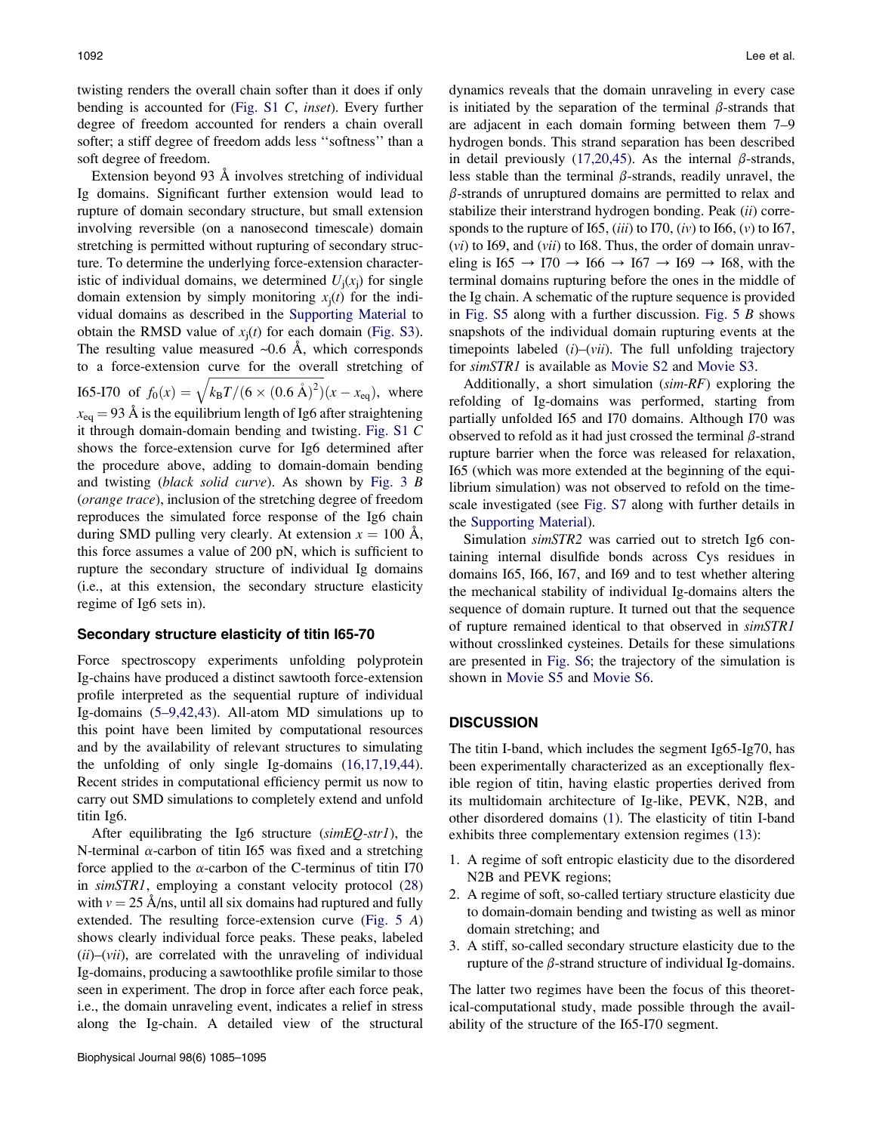twisting renders the overall chain softer than it does if only bending is accounted for ([Fig. S1](#page-9-0) C, inset). Every further degree of freedom accounted for renders a chain overall softer; a stiff degree of freedom adds less ''softness'' than a soft degree of freedom.

Extension beyond 93 A involves stretching of individual Ig domains. Significant further extension would lead to rupture of domain secondary structure, but small extension involving reversible (on a nanosecond timescale) domain stretching is permitted without rupturing of secondary structure. To determine the underlying force-extension characteristic of individual domains, we determined  $U_i(x_i)$  for single domain extension by simply monitoring  $x_i(t)$  for the individual domains as described in the [Supporting Material](#page-9-0) to obtain the RMSD value of  $x_i(t)$  for each domain [\(Fig. S3\)](#page-9-0). The resulting value measured  $\sim 0.6$  Å, which corresponds to a force-extension curve for the overall stretching of I65-I70 of  $f_0(x) =$  $\frac{1}{k_{\text{B}}T/(6 \times (0.6 \text{ Å})^2)}$  $\overline{\phantom{a}}$  $(x - x_{eq})$ , where  $x_{eq} = 93 \text{ Å}$  is the equilibrium length of Ig6 after straightening it through domain-domain bending and twisting. [Fig. S1](#page-9-0) C shows the force-extension curve for Ig6 determined after the procedure above, adding to domain-domain bending and twisting (black solid curve). As shown by [Fig. 3](#page-4-0) B (orange trace), inclusion of the stretching degree of freedom reproduces the simulated force response of the Ig6 chain during SMD pulling very clearly. At extension  $x = 100$  Å, this force assumes a value of 200 pN, which is sufficient to rupture the secondary structure of individual Ig domains (i.e., at this extension, the secondary structure elasticity regime of Ig6 sets in).

### Secondary structure elasticity of titin I65-70

Force spectroscopy experiments unfolding polyprotein Ig-chains have produced a distinct sawtooth force-extension profile interpreted as the sequential rupture of individual Ig-domains ([5–9,42,43\)](#page-9-0). All-atom MD simulations up to this point have been limited by computational resources and by the availability of relevant structures to simulating the unfolding of only single Ig-domains [\(16,17,19,44\)](#page-9-0). Recent strides in computational efficiency permit us now to carry out SMD simulations to completely extend and unfold titin Ig6.

After equilibrating the Ig6 structure  $(simEQ\text{-}str1)$ , the N-terminal  $\alpha$ -carbon of titin I65 was fixed and a stretching force applied to the  $\alpha$ -carbon of the C-terminus of titin I70 in simSTR1, employing a constant velocity protocol [\(28](#page-10-0)) with  $v = 25$  Å/ns, until all six domains had ruptured and fully extended. The resulting force-extension curve ([Fig. 5](#page-8-0) A) shows clearly individual force peaks. These peaks, labeled  $(ii)$ – $(vii)$ , are correlated with the unraveling of individual Ig-domains, producing a sawtoothlike profile similar to those seen in experiment. The drop in force after each force peak, i.e., the domain unraveling event, indicates a relief in stress along the Ig-chain. A detailed view of the structural dynamics reveals that the domain unraveling in every case is initiated by the separation of the terminal  $\beta$ -strands that are adjacent in each domain forming between them 7–9 hydrogen bonds. This strand separation has been described in detail previously ([17,20,45](#page-9-0)). As the internal  $\beta$ -strands, less stable than the terminal  $\beta$ -strands, readily unravel, the  $\beta$ -strands of unruptured domains are permitted to relax and stabilize their interstrand hydrogen bonding. Peak (ii) corresponds to the rupture of I65,  $(iii)$  to I70,  $(iv)$  to I66,  $(v)$  to I67,  $(vi)$  to I69, and  $(vii)$  to I68. Thus, the order of domain unraveling is  $165 \rightarrow 170 \rightarrow 166 \rightarrow 167 \rightarrow 169 \rightarrow 168$ , with the terminal domains rupturing before the ones in the middle of the Ig chain. A schematic of the rupture sequence is provided in [Fig. S5](#page-9-0) along with a further discussion. Fig.  $5 \, B$  shows snapshots of the individual domain rupturing events at the timepoints labeled  $(i)$ – $(vii)$ . The full unfolding trajectory for simSTR1 is available as [Movie S2](#page-9-0) and [Movie S3.](#page-9-0)

Additionally, a short simulation (sim-RF) exploring the refolding of Ig-domains was performed, starting from partially unfolded I65 and I70 domains. Although I70 was observed to refold as it had just crossed the terminal  $\beta$ -strand rupture barrier when the force was released for relaxation, I65 (which was more extended at the beginning of the equilibrium simulation) was not observed to refold on the timescale investigated (see [Fig. S7](#page-9-0) along with further details in the [Supporting Material\)](#page-9-0).

Simulation simSTR2 was carried out to stretch Ig6 containing internal disulfide bonds across Cys residues in domains I65, I66, I67, and I69 and to test whether altering the mechanical stability of individual Ig-domains alters the sequence of domain rupture. It turned out that the sequence of rupture remained identical to that observed in simSTR1 without crosslinked cysteines. Details for these simulations are presented in [Fig. S6;](#page-9-0) the trajectory of the simulation is shown in [Movie S5](#page-9-0) and [Movie S6](#page-9-0).

# **DISCUSSION**

The titin I-band, which includes the segment Ig65-Ig70, has been experimentally characterized as an exceptionally flexible region of titin, having elastic properties derived from its multidomain architecture of Ig-like, PEVK, N2B, and other disordered domains [\(1](#page-9-0)). The elasticity of titin I-band exhibits three complementary extension regimes [\(13](#page-9-0)):

- 1. A regime of soft entropic elasticity due to the disordered N2B and PEVK regions;
- 2. A regime of soft, so-called tertiary structure elasticity due to domain-domain bending and twisting as well as minor domain stretching; and
- 3. A stiff, so-called secondary structure elasticity due to the rupture of the  $\beta$ -strand structure of individual Ig-domains.

The latter two regimes have been the focus of this theoretical-computational study, made possible through the availability of the structure of the I65-I70 segment.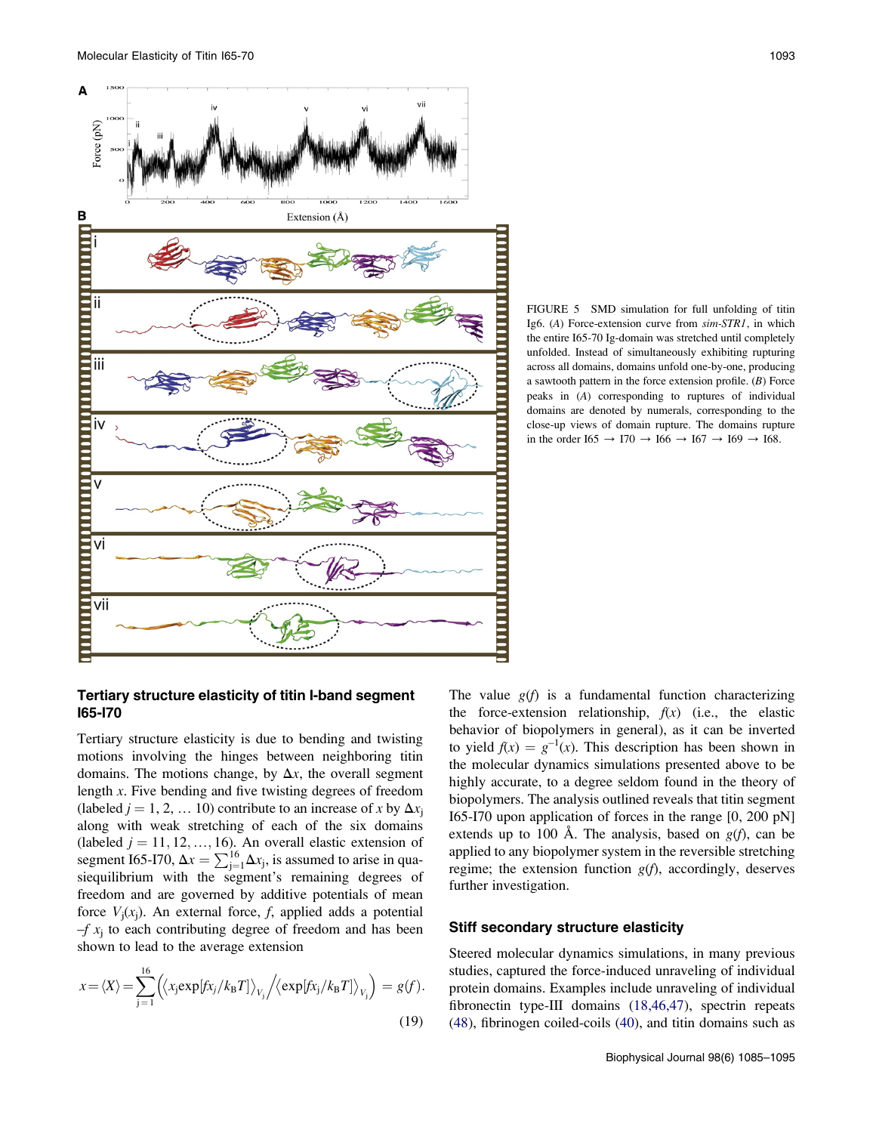<span id="page-8-0"></span>

FIGURE 5 SMD simulation for full unfolding of titin Ig6. (A) Force-extension curve from sim-STR1, in which the entire I65-70 Ig-domain was stretched until completely unfolded. Instead of simultaneously exhibiting rupturing across all domains, domains unfold one-by-one, producing a sawtooth pattern in the force extension profile. (B) Force peaks in (A) corresponding to ruptures of individual domains are denoted by numerals, corresponding to the close-up views of domain rupture. The domains rupture in the order I65  $\rightarrow$  I70  $\rightarrow$  I66  $\rightarrow$  I67  $\rightarrow$  I69  $\rightarrow$  I68.

### Tertiary structure elasticity of titin I-band segment I65-I70

Tertiary structure elasticity is due to bending and twisting motions involving the hinges between neighboring titin domains. The motions change, by  $\Delta x$ , the overall segment length x. Five bending and five twisting degrees of freedom (labeled  $j = 1, 2, \dots 10$ ) contribute to an increase of x by  $\Delta x_i$ along with weak stretching of each of the six domains (labeled  $j = 11, 12, ..., 16$ ). An overall elastic extension of segment I65-I70,  $\Delta x = \sum_{j=1}^{16} \Delta x_j$ , is assumed to arise in quasiequilibrium with the segment's remaining degrees of freedom and are governed by additive potentials of mean force  $V_i(x_i)$ . An external force, f, applied adds a potential  $-f x_i$  to each contributing degree of freedom and has been shown to lead to the average extension

$$
x = \langle X \rangle = \sum_{j=1}^{16} \left( \langle x_j \exp[f x_j / k_B T] \rangle_{V_j} / \langle \exp[f x_j / k_B T] \rangle_{V_j} \right) = g(f).
$$
\n(19)

The value  $g(f)$  is a fundamental function characterizing the force-extension relationship,  $f(x)$  (i.e., the elastic behavior of biopolymers in general), as it can be inverted to yield  $f(x) = g^{-1}(x)$ . This description has been shown in the molecular dynamics simulations presented above to be highly accurate, to a degree seldom found in the theory of biopolymers. The analysis outlined reveals that titin segment I65-I70 upon application of forces in the range [0, 200 pN] extends up to 100 Å. The analysis, based on  $g(f)$ , can be applied to any biopolymer system in the reversible stretching regime; the extension function  $g(f)$ , accordingly, deserves further investigation.

### Stiff secondary structure elasticity

Steered molecular dynamics simulations, in many previous studies, captured the force-induced unraveling of individual protein domains. Examples include unraveling of individual fibronectin type-III domains ([18,46,47\)](#page-9-0), spectrin repeats ([48\)](#page-10-0), fibrinogen coiled-coils [\(40](#page-10-0)), and titin domains such as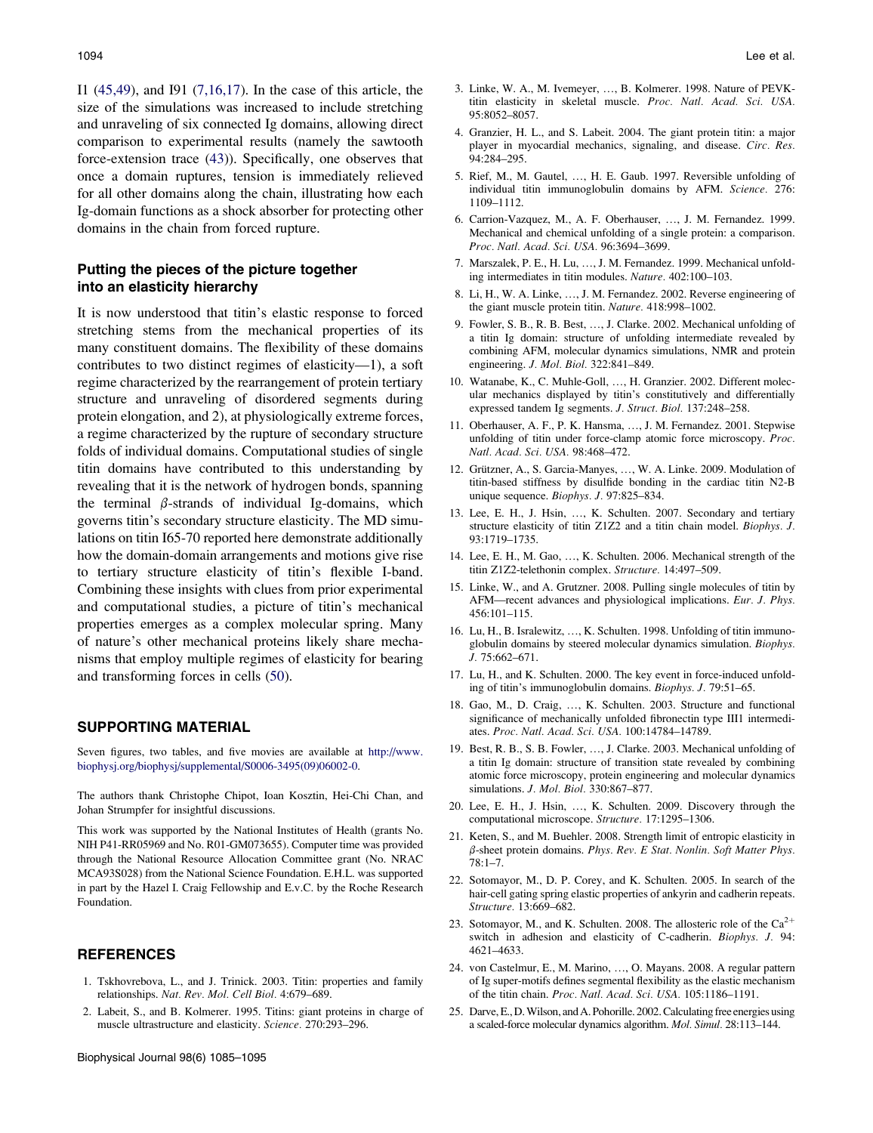<span id="page-9-0"></span>I1 ([45,49](#page-10-0)), and I91 (7,16,17). In the case of this article, the size of the simulations was increased to include stretching and unraveling of six connected Ig domains, allowing direct comparison to experimental results (namely the sawtooth force-extension trace ([43\)](#page-10-0)). Specifically, one observes that once a domain ruptures, tension is immediately relieved for all other domains along the chain, illustrating how each Ig-domain functions as a shock absorber for protecting other domains in the chain from forced rupture.

# Putting the pieces of the picture together into an elasticity hierarchy

It is now understood that titin's elastic response to forced stretching stems from the mechanical properties of its many constituent domains. The flexibility of these domains contributes to two distinct regimes of elasticity—1), a soft regime characterized by the rearrangement of protein tertiary structure and unraveling of disordered segments during protein elongation, and 2), at physiologically extreme forces, a regime characterized by the rupture of secondary structure folds of individual domains. Computational studies of single titin domains have contributed to this understanding by revealing that it is the network of hydrogen bonds, spanning the terminal  $\beta$ -strands of individual Ig-domains, which governs titin's secondary structure elasticity. The MD simulations on titin I65-70 reported here demonstrate additionally how the domain-domain arrangements and motions give rise to tertiary structure elasticity of titin's flexible I-band. Combining these insights with clues from prior experimental and computational studies, a picture of titin's mechanical properties emerges as a complex molecular spring. Many of nature's other mechanical proteins likely share mechanisms that employ multiple regimes of elasticity for bearing and transforming forces in cells ([50\)](#page-10-0).

### SUPPORTING MATERIAL

Seven figures, two tables, and five movies are available at [http://www.](http://www.biophysj.org/biophysj/supplemental/S0006-3495(09)06002-0) [biophysj.org/biophysj/supplemental/S0006-3495\(09\)06002-0](http://www.biophysj.org/biophysj/supplemental/S0006-3495(09)06002-0).

The authors thank Christophe Chipot, Ioan Kosztin, Hei-Chi Chan, and Johan Strumpfer for insightful discussions.

This work was supported by the National Institutes of Health (grants No. NIH P41-RR05969 and No. R01-GM073655). Computer time was provided through the National Resource Allocation Committee grant (No. NRAC MCA93S028) from the National Science Foundation. E.H.L. was supported in part by the Hazel I. Craig Fellowship and E.v.C. by the Roche Research Foundation.

### **REFERENCES**

- 1. Tskhovrebova, L., and J. Trinick. 2003. Titin: properties and family relationships. Nat. Rev. Mol. Cell Biol. 4:679–689.
- 2. Labeit, S., and B. Kolmerer. 1995. Titins: giant proteins in charge of muscle ultrastructure and elasticity. Science. 270:293–296.
- 3. Linke, W. A., M. Ivemeyer, ..., B. Kolmerer. 1998. Nature of PEVKtitin elasticity in skeletal muscle. Proc. Natl. Acad. Sci. USA. 95:8052–8057.
- 4. Granzier, H. L., and S. Labeit. 2004. The giant protein titin: a major player in myocardial mechanics, signaling, and disease. Circ. Res. 94:284–295.
- 5. Rief, M., M. Gautel, ..., H. E. Gaub. 1997. Reversible unfolding of individual titin immunoglobulin domains by AFM. Science. 276: 1109–1112.
- 6. Carrion-Vazquez, M., A. F. Oberhauser, ..., J. M. Fernandez. 1999. Mechanical and chemical unfolding of a single protein: a comparison. Proc. Natl. Acad. Sci. USA. 96:3694–3699.
- 7. Marszalek, P. E., H. Lu, ..., J. M. Fernandez. 1999. Mechanical unfolding intermediates in titin modules. Nature. 402:100–103.
- 8. Li, H., W. A. Linke, ., J. M. Fernandez. 2002. Reverse engineering of the giant muscle protein titin. Nature. 418:998–1002.
- 9. Fowler, S. B., R. B. Best, ., J. Clarke. 2002. Mechanical unfolding of a titin Ig domain: structure of unfolding intermediate revealed by combining AFM, molecular dynamics simulations, NMR and protein engineering. J. Mol. Biol. 322:841–849.
- 10. Watanabe, K., C. Muhle-Goll, ..., H. Granzier. 2002. Different molecular mechanics displayed by titin's constitutively and differentially expressed tandem Ig segments. J. Struct. Biol. 137:248–258.
- 11. Oberhauser, A. F., P. K. Hansma, ., J. M. Fernandez. 2001. Stepwise unfolding of titin under force-clamp atomic force microscopy. Proc. Natl. Acad. Sci. USA. 98:468–472.
- 12. Grützner, A., S. Garcia-Manyes, ..., W. A. Linke. 2009. Modulation of titin-based stiffness by disulfide bonding in the cardiac titin N2-B unique sequence. Biophys. J. 97:825–834.
- 13. Lee, E. H., J. Hsin, ..., K. Schulten. 2007. Secondary and tertiary structure elasticity of titin Z1Z2 and a titin chain model. Biophys. J. 93:1719–1735.
- 14. Lee, E. H., M. Gao, ., K. Schulten. 2006. Mechanical strength of the titin Z1Z2-telethonin complex. Structure. 14:497–509.
- 15. Linke, W., and A. Grutzner. 2008. Pulling single molecules of titin by AFM—recent advances and physiological implications. Eur. J. Phys. 456:101–115.
- 16. Lu, H., B. Isralewitz, ..., K. Schulten. 1998. Unfolding of titin immunoglobulin domains by steered molecular dynamics simulation. Biophys. J. 75:662–671.
- 17. Lu, H., and K. Schulten. 2000. The key event in force-induced unfolding of titin's immunoglobulin domains. Biophys. J. 79:51–65.
- 18. Gao, M., D. Craig, ..., K. Schulten. 2003. Structure and functional significance of mechanically unfolded fibronectin type III1 intermediates. Proc. Natl. Acad. Sci. USA. 100:14784–14789.
- 19. Best, R. B., S. B. Fowler, ..., J. Clarke. 2003. Mechanical unfolding of a titin Ig domain: structure of transition state revealed by combining atomic force microscopy, protein engineering and molecular dynamics simulations. J. Mol. Biol. 330:867–877.
- 20. Lee, E. H., J. Hsin, ., K. Schulten. 2009. Discovery through the computational microscope. Structure. 17:1295–1306.
- 21. Keten, S., and M. Buehler. 2008. Strength limit of entropic elasticity in  $\beta$ -sheet protein domains. Phys. Rev. E Stat. Nonlin. Soft Matter Phys. 78:1–7.
- 22. Sotomayor, M., D. P. Corey, and K. Schulten. 2005. In search of the hair-cell gating spring elastic properties of ankyrin and cadherin repeats. Structure. 13:669–682.
- 23. Sotomayor, M., and K. Schulten. 2008. The allosteric role of the  $Ca^{2+}$ switch in adhesion and elasticity of C-cadherin. Biophys. J. 94: 4621–4633.
- 24. von Castelmur, E., M. Marino, ., O. Mayans. 2008. A regular pattern of Ig super-motifs defines segmental flexibility as the elastic mechanism of the titin chain. Proc. Natl. Acad. Sci. USA. 105:1186–1191.
- 25. Darve, E., D. Wilson, and A. Pohorille. 2002. Calculating free energies using a scaled-force molecular dynamics algorithm. Mol. Simul. 28:113–144.